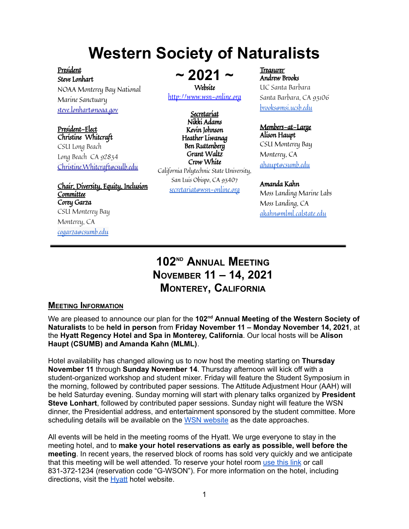# **Western Society of Naturalists**

President Steve Lonhart NOAA Monterey Bay National Marine Sanctuary [steve.lonhart@noaa.gov](mailto:steve.lonhart@noaa.gov)

President-Elect Christine Whitcraft CSU Long Beach Long Beach CA 92834 [Christine.Whitcraft@csulb.edu](mailto:Christine.Whitcraft@csulb.edu)

Chair, Diversity, Equity, Inclusion **Committee** Corey Garza CSU Monterey Bay Monterey, CA [cogarza@csumb.edu](mailto:cogarza@csumb.edu)

**~ 2021 ~** Website

<http://www.wsn-online.org>

Secretariat Nikki Adams Kevin Johnson Heather Liwanag Ben Ruttenberg Grant Waltz Crow White California Polytechnic State University, San Luis Obispo, CA 93407 [secretariat@wsn-online.org](mailto:secretariat@wsn-online.org)

Treasurer Andrew Brooks UC Santa Barbara Santa Barbara, CA 93106 [brooks@msi.ucsb.edu](mailto:brooks@msi.ucsb.edu)

Members-at-Large Alison Haupt CSU Monterey Bay Monterey, CA [ahaupt@csumb.edu](mailto:ahaupt@csumb.edu)

#### Amanda Kahn

Moss Landing Marine Labs Moss Landing, CA [akahn@mlml.calstate.edu](mailto:akahn@mlml.calstate.edu)

# **102ND ANNUAL MEETING NOVEMBER 11 – 14, 2021 MONTEREY, CALIFORNIA**

# **MEETING INFORMATION**

We are pleased to announce our plan for the 102<sup>nd</sup> Annual Meeting of the Western Society of **Naturalists** to be **held in person** from **Friday November 11 – Monday November 14, 2021**, at the **Hyatt Regency Hotel and Spa in Monterey, California**. Our local hosts will be **Alison Haupt (CSUMB) and Amanda Kahn (MLML)**.

Hotel availability has changed allowing us to now host the meeting starting on **Thursday November 11** through **Sunday November 14**. Thursday afternoon will kick off with a student-organized workshop and student mixer. Friday will feature the Student Symposium in the morning, followed by contributed paper sessions. The Attitude Adjustment Hour (AAH) will be held Saturday evening. Sunday morning will start with plenary talks organized by **President Steve Lonhart**, followed by contributed paper sessions. Sunday night will feature the WSN dinner, the Presidential address, and entertainment sponsored by the student committee. More scheduling details will be available on the WSN [website](http://www.wsn-online.org/) as the date approaches.

All events will be held in the meeting rooms of the Hyatt. We urge everyone to stay in the meeting hotel, and to **make your hotel reservations as early as possible, well before the meeting**. In recent years, the reserved block of rooms has sold very quickly and we anticipate that this meeting will be well attended. To reserve your hotel room [use](https://www.hyatt.com/en-US/group-booking/MRYDM/G-WSON) this link or call 831-372-1234 (reservation code "G-WSON"). For more information on the hotel, including directions, visit the [Hyatt](https://www.hyatt.com/en-US/hotel/california/hyatt-regency-monterey-hotel-and-spa-on-del-monte-golf-course/mrydm) hotel website.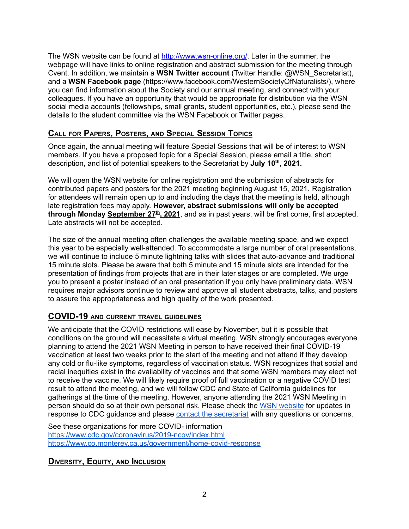The WSN website can be found at <http://www.wsn-online.org/>. Later in the summer, the webpage will have links to online registration and abstract submission for the meeting through Cvent. In addition, we maintain a **WSN Twitter account** (Twitter Handle: @WSN\_Secretariat), and a **WSN Facebook page** (https://www.facebook.com/WesternSocietyOfNaturalists/), where you can find information about the Society and our annual meeting, and connect with your colleagues. If you have an opportunity that would be appropriate for distribution via the WSN social media accounts (fellowships, small grants, student opportunities, etc.), please send the details to the student committee via the WSN Facebook or Twitter pages.

# **CALL FOR PAPERS, POSTERS, AND SPECIAL SESSION TOPICS**

Once again, the annual meeting will feature Special Sessions that will be of interest to WSN members. If you have a proposed topic for a Special Session, please email a title, short description, and list of potential speakers to the Secretariat by **July 10 th , 2021.**

We will open the WSN website for online registration and the submission of abstracts for contributed papers and posters for the 2021 meeting beginning August 15, 2021. Registration for attendees will remain open up to and including the days that the meeting is held, although late registration fees may apply. **However, abstract submissions will only be accepted through Monday September 27 th , 2021**, and as in past years, will be first come, first accepted. Late abstracts will not be accepted.

The size of the annual meeting often challenges the available meeting space, and we expect this year to be especially well-attended. To accommodate a large number of oral presentations, we will continue to include 5 minute lightning talks with slides that auto-advance and traditional 15 minute slots. Please be aware that both 5 minute and 15 minute slots are intended for the presentation of findings from projects that are in their later stages or are completed. We urge you to present a poster instead of an oral presentation if you only have preliminary data. WSN requires major advisors continue to review and approve all student abstracts, talks, and posters to assure the appropriateness and high quality of the work presented.

# **COVID-19 AND CURRENT TRAVEL GUIDELINES**

We anticipate that the COVID restrictions will ease by November, but it is possible that conditions on the ground will necessitate a virtual meeting. WSN strongly encourages everyone planning to attend the 2021 WSN Meeting in person to have received their final COVID-19 vaccination at least two weeks prior to the start of the meeting and not attend if they develop any cold or flu-like symptoms, regardless of vaccination status. WSN recognizes that social and racial inequities exist in the availability of vaccines and that some WSN members may elect not to receive the vaccine. We will likely require proof of full vaccination or a negative COVID test result to attend the meeting, and we will follow CDC and State of California guidelines for gatherings at the time of the meeting. However, anyone attending the 2021 WSN Meeting in person should do so at their own personal risk. Please check the WSN [website](https://www.wsn-online.org/) for updates in response to CDC guidance and please contact the [secretariat](mailto:secretariat@wsn-online.org) with any questions or concerns.

See these organizations for more COVID- information <https://www.cdc.gov/coronavirus/2019-ncov/index.html> <https://www.co.monterey.ca.us/government/home-covid-response>

# **DIVERSITY, EQUITY, AND INCLUSION**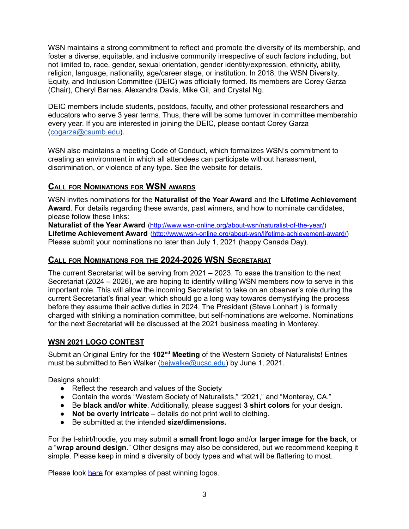WSN maintains a strong commitment to reflect and promote the diversity of its membership, and foster a diverse, equitable, and inclusive community irrespective of such factors including, but not limited to, race, gender, sexual orientation, gender identity/expression, ethnicity, ability, religion, language, nationality, age/career stage, or institution. In 2018, the WSN Diversity, Equity, and Inclusion Committee (DEIC) was officially formed. Its members are Corey Garza (Chair), Cheryl Barnes, Alexandra Davis, Mike Gil, and Crystal Ng.

DEIC members include students, postdocs, faculty, and other professional researchers and educators who serve 3 year terms. Thus, there will be some turnover in committee membership every year. If you are interested in joining the DEIC, please contact Corey Garza ([cogarza@csumb.edu\)](mailto:cogarza@csumb.edu).

WSN also maintains a meeting Code of Conduct, which formalizes WSN's commitment to creating an environment in which all attendees can participate without harassment, discrimination, or violence of any type. See the website for details.

# **CALL FOR NOMINATIONS FOR WSN AWARDS**

WSN invites nominations for the **Naturalist of the Year Award** and the **Lifetime Achievement Award**. For details regarding these awards, past winners, and how to nominate candidates, please follow these links:

**Naturalist of the Year Award** (<http://www.wsn-online.org/about-wsn/naturalist-of-the-year/>) **Lifetime Achievement Award** [\(http://www.wsn-online.org/about-wsn/lifetime-achievement-award/](http://www.wsn-online.org/about-wsn/lifetime-achievement-award/)) Please submit your nominations no later than July 1, 2021 (happy Canada Day).

# **CALL FOR NOMINATIONS FOR THE 2024-2026 WSN SECRETARIAT**

The current Secretariat will be serving from 2021 – 2023. To ease the transition to the next Secretariat (2024 – 2026), we are hoping to identify willing WSN members now to serve in this important role. This will allow the incoming Secretariat to take on an observer's role during the current Secretariat's final year, which should go a long way towards demystifying the process before they assume their active duties in 2024. The President (Steve Lonhart ) is formally charged with striking a nomination committee, but self-nominations are welcome. Nominations for the next Secretariat will be discussed at the 2021 business meeting in Monterey.

# **WSN 2021 LOGO CONTEST**

Submit an Original Entry for the 102<sup>nd</sup> Meeting of the Western Society of Naturalists! Entries must be submitted to Ben Walker [\(bejwalke@ucsc.edu](mailto:bejwalke@ucsc.edu)) by June 1, 2021.

Designs should:

- Reflect the research and values of the Society
- Contain the words "Western Society of Naturalists," "2021," and "Monterey, CA."
- Be **black and/or white**. Additionally, please suggest **3 shirt colors** for your design.
- **Not be overly intricate** details do not print well to clothing.
- Be submitted at the intended **size/dimensions.**

For the t-shirt/hoodie, you may submit a **small front logo** and/or **larger image for the back**, or a "**wrap around design**." Other designs may also be considered, but we recommend keeping it simple. Please keep in mind a diversity of body types and what will be flattering to most.

Please look [here](https://docs.google.com/document/d/1gQJ0NriDk5_QwnX2-wg9PapRwYlL4QZ5DD-0e5Pk51s/edit?usp=sharing) for examples of past winning logos.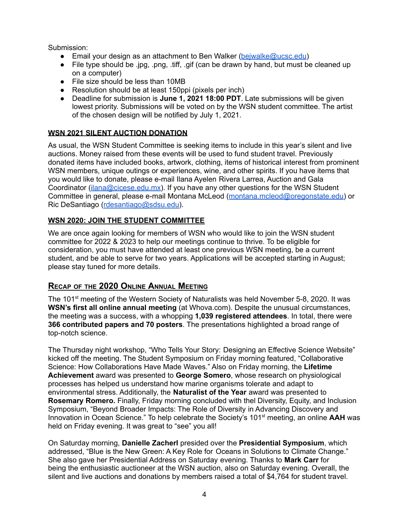Submission:

- Email your design as an attachment to Ben Walker (beiwalke@ucsc.edu)
- File type should be .jpg, .png, .tiff, .gif (can be drawn by hand, but must be cleaned up on a computer)
- File size should be less than 10MB
- Resolution should be at least 150ppi (pixels per inch)
- Deadline for submission is **June 1, 2021 18:00 PDT**. Late submissions will be given lowest priority. Submissions will be voted on by the WSN student committee. The artist of the chosen design will be notified by July 1, 2021.

# **WSN 2021 SILENT AUCTION DONATION**

As usual, the WSN Student Committee is seeking items to include in this year's silent and live auctions. Money raised from these events will be used to fund student travel. Previously donated items have included books, artwork, clothing, items of historical interest from prominent WSN members, unique outings or experiences, wine, and other spirits. If you have items that you would like to donate, please e-mail Ilana Ayelen Rivera Larrea, Auction and Gala Coordinator [\(ilana@cicese.edu.mx\)](mailto:ilana@cicese.edu.mx). If you have any other questions for the WSN Student Committee in general, please e-mail Montana McLeod ([montana.mcleod@oregonstate.edu\)](mailto:montana.mcleod@oregonstate.edu) or Ric DeSantiago [\(rdesantiago@sdsu.edu](mailto:rdesantiago@sdsu.edu)).

# **WSN 2020: JOIN THE STUDENT COMMITTEE**

We are once again looking for members of WSN who would like to join the WSN student committee for 2022 & 2023 to help our meetings continue to thrive. To be eligible for consideration, you must have attended at least one previous WSN meeting, be a current student, and be able to serve for two years. Applications will be accepted starting in August; please stay tuned for more details.

# **RECAP OF THE 2020 ONLINE ANNUAL MEETING**

The 101<sup>st</sup> meeting of the Western Society of Naturalists was held November 5-8, 2020. It was **WSN's first all online annual meeting** (at Whova.com). Despite the unusual circumstances, the meeting was a success, with a whopping **1,039 registered attendees**. In total, there were **366 contributed papers and 70 posters**. The presentations highlighted a broad range of top-notch science.

The Thursday night workshop, "Who Tells Your Story: Designing an Effective Science Website" kicked off the meeting. The Student Symposium on Friday morning featured, "Collaborative Science: How Collaborations Have Made Waves." Also on Friday morning, the **Lifetime Achievement** award was presented to **George Somero**, whose research on physiological processes has helped us understand how marine organisms tolerate and adapt to environmental stress. Additionally, the **Naturalist of the Year** award was presented to **Rosemary Romero.** Finally, Friday morning concluded with thel Diversity, Equity, and Inclusion Symposium, "Beyond Broader Impacts: The Role of Diversity in Advancing Discovery and Innovation in Ocean Science." To help celebrate the Society's 101<sup>st</sup> meeting, an online AAH was held on Friday evening. It was great to "see" you all!

On Saturday morning, **Danielle Zacherl** presided over the **Presidential Symposium**, which addressed, "Blue is the New Green: A Key Role for Oceans in Solutions to Climate Change." She also gave her Presidential Address on Saturday evening. Thanks to **Mark Carr** for being the enthusiastic auctioneer at the WSN auction, also on Saturday evening. Overall, the silent and live auctions and donations by members raised a total of \$4,764 for student travel.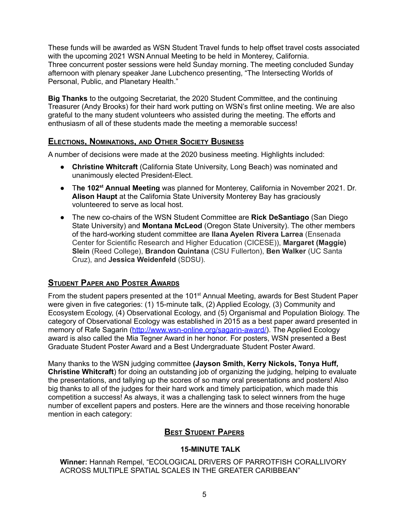These funds will be awarded as WSN Student Travel funds to help offset travel costs associated with the upcoming 2021 WSN Annual Meeting to be held in Monterey, California. Three concurrent poster sessions were held Sunday morning. The meeting concluded Sunday afternoon with plenary speaker Jane Lubchenco presenting, "The Intersecting Worlds of Personal, Public, and Planetary Health."

**Big Thanks** to the outgoing Secretariat, the 2020 Student Committee, and the continuing Treasurer (Andy Brooks) for their hard work putting on WSN's first online meeting. We are also grateful to the many student volunteers who assisted during the meeting. The efforts and enthusiasm of all of these students made the meeting a memorable success!

# **ELECTIONS, NOMINATIONS, AND OTHER SOCIETY BUSINESS**

A number of decisions were made at the 2020 business meeting. Highlights included:

- **Christine Whitcraft** (California State University, Long Beach) was nominated and unanimously elected President-Elect.
- T**he 102 st Annual Meeting** was planned for Monterey, California in November 2021. Dr. **Alison Haupt** at the California State University Monterey Bay has graciously volunteered to serve as local host.
- The new co-chairs of the WSN Student Committee are **Rick DeSantiago** (San Diego State University) and **Montana McLeod** (Oregon State University). The other members of the hard-working student committee are **Ilana Ayelen Rivera Larrea** (Ensenada Center for Scientific Research and Higher Education (CICESE)), **Margaret (Maggie) Slein** (Reed College), **Brandon Quintana** (CSU Fullerton), **Ben Walker** (UC Santa Cruz), and **Jessica Weidenfeld** (SDSU).

# **STUDENT PAPER AND POSTER AWARDS**

From the student papers presented at the 101<sup>st</sup> Annual Meeting, awards for Best Student Paper were given in five categories: (1) 15-minute talk, (2) Applied Ecology, (3) Community and Ecosystem Ecology, (4) Observational Ecology, and (5) Organismal and Population Biology. The category of Observational Ecology was established in 2015 as a best paper award presented in memory of Rafe Sagarin ([http://www.wsn-online.org/sagarin-award/\)](http://www.wsn-online.org/sagarin-award/). The Applied Ecology award is also called the Mia Tegner Award in her honor. For posters, WSN presented a Best Graduate Student Poster Award and a Best Undergraduate Student Poster Award.

Many thanks to the WSN judging committee **(Jayson Smith, Kerry Nickols, Tonya Huff, Christine Whitcraft**) for doing an outstanding job of organizing the judging, helping to evaluate the presentations, and tallying up the scores of so many oral presentations and posters! Also big thanks to all of the judges for their hard work and timely participation, which made this competition a success! As always, it was a challenging task to select winners from the huge number of excellent papers and posters. Here are the winners and those receiving honorable mention in each category:

# **BEST STUDENT PAPERS**

# **15-MINUTE TALK**

**Winner:** Hannah Rempel, "ECOLOGICAL DRIVERS OF PARROTFISH CORALLIVORY ACROSS MULTIPLE SPATIAL SCALES IN THE GREATER CARIBBEAN"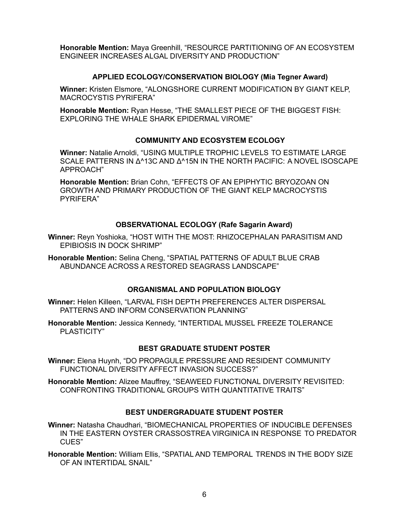**Honorable Mention:** Maya Greenhill, "RESOURCE PARTITIONING OF AN ECOSYSTEM ENGINEER INCREASES ALGAL DIVERSITY AND PRODUCTION"

#### **APPLIED ECOLOGY/CONSERVATION BIOLOGY (Mia Tegner Award)**

**Winner:** Kristen Elsmore, "ALONGSHORE CURRENT MODIFICATION BY GIANT KELP, MACROCYSTIS PYRIFERA"

**Honorable Mention:** Ryan Hesse, "THE SMALLEST PIECE OF THE BIGGEST FISH: EXPLORING THE WHALE SHARK EPIDERMAL VIROME"

#### **COMMUNITY AND ECOSYSTEM ECOLOGY**

**Winner:** Natalie Arnoldi, "USING MULTIPLE TROPHIC LEVELS TO ESTIMATE LARGE SCALE PATTERNS IN Δ^13C AND Δ^15N IN THE NORTH PACIFIC: A NOVEL ISOSCAPE APPROACH"

**Honorable Mention:** Brian Cohn, "EFFECTS OF AN EPIPHYTIC BRYOZOAN ON GROWTH AND PRIMARY PRODUCTION OF THE GIANT KELP MACROCYSTIS PYRIFERA"

#### **OBSERVATIONAL ECOLOGY (Rafe Sagarin Award)**

**Winner:** Reyn Yoshioka, "HOST WITH THE MOST: RHIZOCEPHALAN PARASITISM AND EPIBIOSIS IN DOCK SHRIMP"

**Honorable Mention:** Selina Cheng, "SPATIAL PATTERNS OF ADULT BLUE CRAB ABUNDANCE ACROSS A RESTORED SEAGRASS LANDSCAPE"

#### **ORGANISMAL AND POPULATION BIOLOGY**

**Winner:** Helen Killeen, "LARVAL FISH DEPTH PREFERENCES ALTER DISPERSAL PATTERNS AND INFORM CONSERVATION PLANNING"

**Honorable Mention:** Jessica Kennedy, "INTERTIDAL MUSSEL FREEZE TOLERANCE PLASTICITY"

# **BEST GRADUATE STUDENT POSTER**

**Winner:** Elena Huynh, "DO PROPAGULE PRESSURE AND RESIDENT COMMUNITY FUNCTIONAL DIVERSITY AFFECT INVASION SUCCESS?"

**Honorable Mention:** Alizee Mauffrey, "SEAWEED FUNCTIONAL DIVERSITY REVISITED: CONFRONTING TRADITIONAL GROUPS WITH QUANTITATIVE TRAITS"

# **BEST UNDERGRADUATE STUDENT POSTER**

**Winner:** Natasha Chaudhari, "BIOMECHANICAL PROPERTIES OF INDUCIBLE DEFENSES IN THE EASTERN OYSTER CRASSOSTREA VIRGINICA IN RESPONSE TO PREDATOR CUES"

**Honorable Mention:** William Ellis, "SPATIAL AND TEMPORAL TRENDS IN THE BODY SIZE OF AN INTERTIDAL SNAIL"